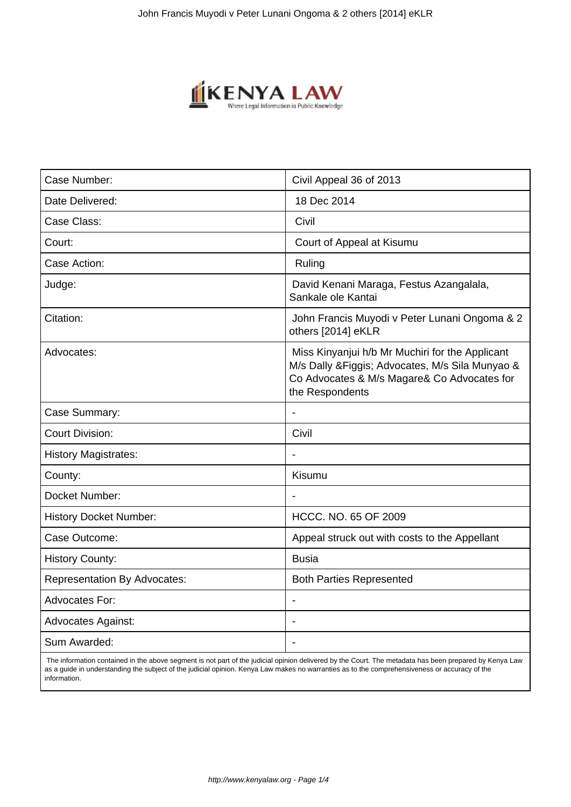

| Case Number:                        | Civil Appeal 36 of 2013                                                                                                                                               |
|-------------------------------------|-----------------------------------------------------------------------------------------------------------------------------------------------------------------------|
| Date Delivered:                     | 18 Dec 2014                                                                                                                                                           |
| Case Class:                         | Civil                                                                                                                                                                 |
| Court:                              | Court of Appeal at Kisumu                                                                                                                                             |
| Case Action:                        | Ruling                                                                                                                                                                |
| Judge:                              | David Kenani Maraga, Festus Azangalala,<br>Sankale ole Kantai                                                                                                         |
| Citation:                           | John Francis Muyodi v Peter Lunani Ongoma & 2<br>others [2014] eKLR                                                                                                   |
| Advocates:                          | Miss Kinyanjui h/b Mr Muchiri for the Applicant<br>M/s Dally & Figgis; Advocates, M/s Sila Munyao &<br>Co Advocates & M/s Magare& Co Advocates for<br>the Respondents |
| Case Summary:                       |                                                                                                                                                                       |
| <b>Court Division:</b>              | Civil                                                                                                                                                                 |
| <b>History Magistrates:</b>         |                                                                                                                                                                       |
| County:                             | Kisumu                                                                                                                                                                |
| Docket Number:                      | $\overline{\phantom{a}}$                                                                                                                                              |
| <b>History Docket Number:</b>       | HCCC. NO. 65 OF 2009                                                                                                                                                  |
| Case Outcome:                       | Appeal struck out with costs to the Appellant                                                                                                                         |
| <b>History County:</b>              | <b>Busia</b>                                                                                                                                                          |
| <b>Representation By Advocates:</b> | <b>Both Parties Represented</b>                                                                                                                                       |
| Advocates For:                      | $\blacksquare$                                                                                                                                                        |
| <b>Advocates Against:</b>           |                                                                                                                                                                       |
| Sum Awarded:                        |                                                                                                                                                                       |
|                                     |                                                                                                                                                                       |

 The information contained in the above segment is not part of the judicial opinion delivered by the Court. The metadata has been prepared by Kenya Law as a guide in understanding the subject of the judicial opinion. Kenya Law makes no warranties as to the comprehensiveness or accuracy of the information.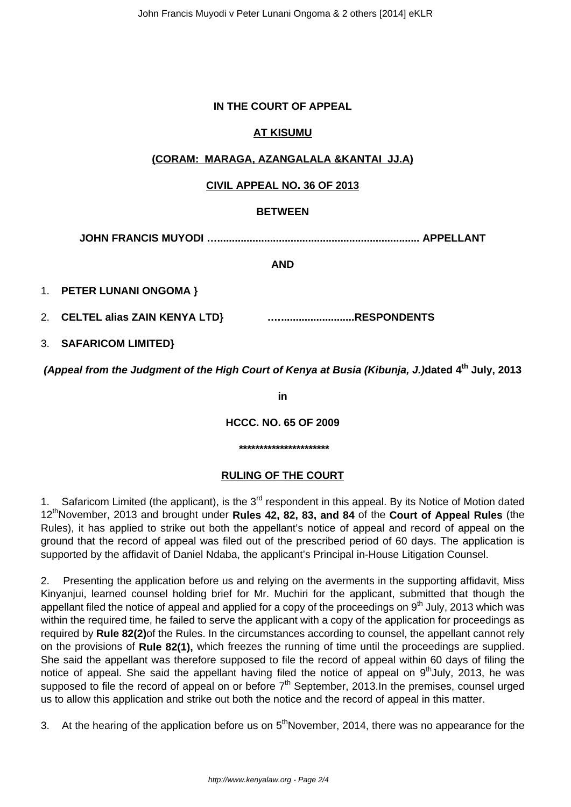### **IN THE COURT OF APPEAL**

# **AT KISUMU**

# **(CORAM: MARAGA, AZANGALALA &KANTAI JJ.A)**

# **CIVIL APPEAL NO. 36 OF 2013**

### **BETWEEN**

**JOHN FRANCIS MUYODI …..................................................................... APPELLANT**

### **AND**

1. **PETER LUNANI ONGOMA }** 

2. **CELTEL alias ZAIN KENYA LTD} .….........................RESPONDENTS**

3. **SAFARICOM LIMITED}** 

**(Appeal from the Judgment of the High Court of Kenya at Busia (Kibunja, J.)dated 4th July, 2013**

**in**

**HCCC. NO. 65 OF 2009**

#### **\*\*\*\*\*\*\*\*\*\*\*\*\*\*\*\*\*\*\*\*\*\***

# **RULING OF THE COURT**

1. Safaricom Limited (the applicant), is the 3<sup>rd</sup> respondent in this appeal. By its Notice of Motion dated 12thNovember, 2013 and brought under **Rules 42, 82, 83, and 84** of the **Court of Appeal Rules** (the Rules), it has applied to strike out both the appellant's notice of appeal and record of appeal on the ground that the record of appeal was filed out of the prescribed period of 60 days. The application is supported by the affidavit of Daniel Ndaba, the applicant's Principal in-House Litigation Counsel.

2. Presenting the application before us and relying on the averments in the supporting affidavit, Miss Kinyanjui, learned counsel holding brief for Mr. Muchiri for the applicant, submitted that though the appellant filed the notice of appeal and applied for a copy of the proceedings on  $9<sup>th</sup>$  July, 2013 which was within the required time, he failed to serve the applicant with a copy of the application for proceedings as required by **Rule 82(2)**of the Rules. In the circumstances according to counsel, the appellant cannot rely on the provisions of **Rule 82(1),** which freezes the running of time until the proceedings are supplied. She said the appellant was therefore supposed to file the record of appeal within 60 days of filing the notice of appeal. She said the appellant having filed the notice of appeal on 9<sup>th</sup>July, 2013, he was supposed to file the record of appeal on or before  $7<sup>th</sup>$  September, 2013.In the premises, counsel urged us to allow this application and strike out both the notice and the record of appeal in this matter.

3. At the hearing of the application before us on 5<sup>th</sup>November, 2014, there was no appearance for the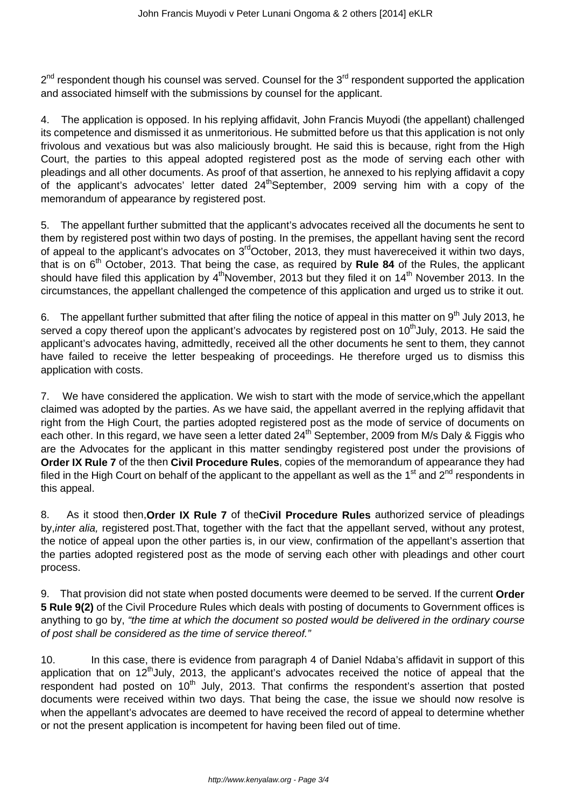2<sup>nd</sup> respondent though his counsel was served. Counsel for the 3<sup>rd</sup> respondent supported the application and associated himself with the submissions by counsel for the applicant.

4. The application is opposed. In his replying affidavit, John Francis Muyodi (the appellant) challenged its competence and dismissed it as unmeritorious. He submitted before us that this application is not only frivolous and vexatious but was also maliciously brought. He said this is because, right from the High Court, the parties to this appeal adopted registered post as the mode of serving each other with pleadings and all other documents. As proof of that assertion, he annexed to his replying affidavit a copy of the applicant's advocates' letter dated 24<sup>th</sup>September, 2009 serving him with a copy of the memorandum of appearance by registered post.

5. The appellant further submitted that the applicant's advocates received all the documents he sent to them by registered post within two days of posting. In the premises, the appellant having sent the record of appeal to the applicant's advocates on  $3<sup>rd</sup>October$ , 2013, they must havereceived it within two days, that is on  $6<sup>th</sup>$  October, 2013. That being the case, as required by **Rule 84** of the Rules, the applicant should have filed this application by  $4<sup>th</sup>$ November, 2013 but they filed it on  $14<sup>th</sup>$  November 2013. In the circumstances, the appellant challenged the competence of this application and urged us to strike it out.

6. The appellant further submitted that after filing the notice of appeal in this matter on  $9<sup>th</sup>$  July 2013, he served a copy thereof upon the applicant's advocates by registered post on  $10<sup>th</sup>$ July, 2013. He said the applicant's advocates having, admittedly, received all the other documents he sent to them, they cannot have failed to receive the letter bespeaking of proceedings. He therefore urged us to dismiss this application with costs.

7. We have considered the application. We wish to start with the mode of service,which the appellant claimed was adopted by the parties. As we have said, the appellant averred in the replying affidavit that right from the High Court, the parties adopted registered post as the mode of service of documents on each other. In this regard, we have seen a letter dated 24<sup>th</sup> September, 2009 from M/s Daly & Figgis who are the Advocates for the applicant in this matter sendingby registered post under the provisions of **Order IX Rule 7** of the then **Civil Procedure Rules**, copies of the memorandum of appearance they had filed in the High Court on behalf of the applicant to the appellant as well as the  $1<sup>st</sup>$  and  $2<sup>nd</sup>$  respondents in this appeal.

8. As it stood then,**Order IX Rule 7** of the**Civil Procedure Rules** authorized service of pleadings by, inter alia, registered post. That, together with the fact that the appellant served, without any protest, the notice of appeal upon the other parties is, in our view, confirmation of the appellant's assertion that the parties adopted registered post as the mode of serving each other with pleadings and other court process.

9. That provision did not state when posted documents were deemed to be served. If the current **Order 5 Rule 9(2)** of the Civil Procedure Rules which deals with posting of documents to Government offices is anything to go by, "the time at which the document so posted would be delivered in the ordinary course of post shall be considered as the time of service thereof."

10. In this case, there is evidence from paragraph 4 of Daniel Ndaba's affidavit in support of this application that on 12<sup>th</sup>July, 2013, the applicant's advocates received the notice of appeal that the respondent had posted on  $10<sup>th</sup>$  July, 2013. That confirms the respondent's assertion that posted documents were received within two days. That being the case, the issue we should now resolve is when the appellant's advocates are deemed to have received the record of appeal to determine whether or not the present application is incompetent for having been filed out of time.